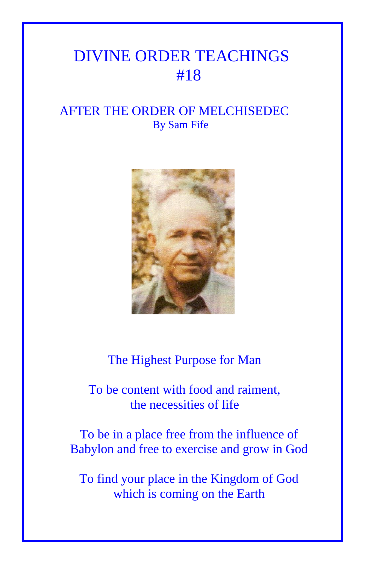## DIVINE ORDER TEACHINGS #18

## AFTER THE ORDER OF MELCHISEDEC By Sam Fife



The Highest Purpose for Man

 To be content with food and raiment, the necessities of life

To be in a place free from the influence of Babylon and free to exercise and grow in God

To find your place in the Kingdom of God which is coming on the Earth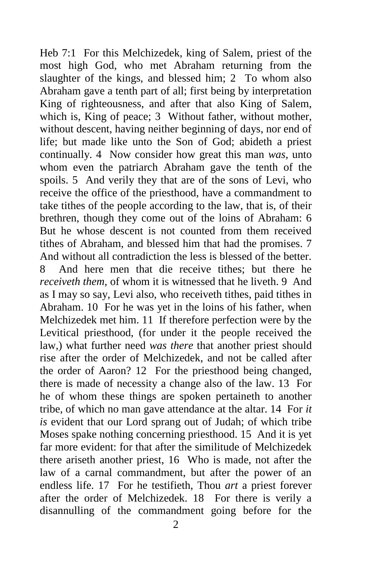Heb 7:1 For this Melchizedek, king of Salem, priest of the most high God, who met Abraham returning from the slaughter of the kings, and blessed him; 2 To whom also Abraham gave a tenth part of all; first being by interpretation King of righteousness, and after that also King of Salem, which is, King of peace; 3 Without father, without mother, without descent, having neither beginning of days, nor end of life; but made like unto the Son of God; abideth a priest continually. 4 Now consider how great this man *was,* unto whom even the patriarch Abraham gave the tenth of the spoils. 5 And verily they that are of the sons of Levi, who receive the office of the priesthood, have a commandment to take tithes of the people according to the law, that is, of their brethren, though they come out of the loins of Abraham: 6 But he whose descent is not counted from them received tithes of Abraham, and blessed him that had the promises. 7 And without all contradiction the less is blessed of the better. 8 And here men that die receive tithes; but there he *receiveth them,* of whom it is witnessed that he liveth. 9 And as I may so say, Levi also, who receiveth tithes, paid tithes in Abraham. 10 For he was yet in the loins of his father, when Melchizedek met him. 11 If therefore perfection were by the Levitical priesthood, (for under it the people received the law,) what further need *was there* that another priest should rise after the order of Melchizedek, and not be called after the order of Aaron? 12 For the priesthood being changed, there is made of necessity a change also of the law. 13 For he of whom these things are spoken pertaineth to another tribe, of which no man gave attendance at the altar. 14 For *it is* evident that our Lord sprang out of Judah; of which tribe Moses spake nothing concerning priesthood. 15 And it is yet far more evident: for that after the similitude of Melchizedek there ariseth another priest, 16 Who is made, not after the law of a carnal commandment, but after the power of an endless life. 17 For he testifieth, Thou *art* a priest forever after the order of Melchizedek. 18 For there is verily a disannulling of the commandment going before for the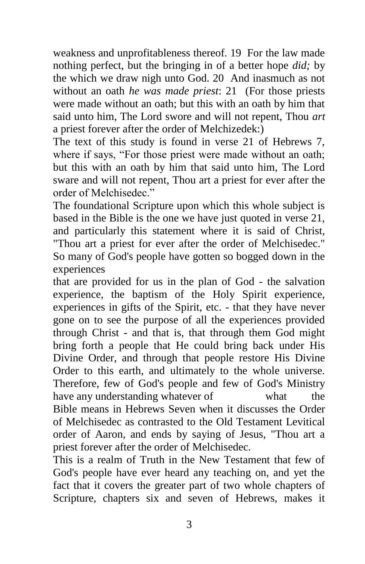weakness and unprofitableness thereof. 19 For the law made nothing perfect, but the bringing in of a better hope *did;* by the which we draw nigh unto God. 20 And inasmuch as not without an oath *he was made priest*: 21 (For those priests were made without an oath; but this with an oath by him that said unto him, The Lord swore and will not repent, Thou *art* a priest forever after the order of Melchizedek:)

The text of this study is found in verse 21 of Hebrews 7, where if says, "For those priest were made without an oath; but this with an oath by him that said unto him, The Lord sware and will not repent, Thou art a priest for ever after the order of Melchisedec."

The foundational Scripture upon which this whole subject is based in the Bible is the one we have just quoted in verse 21, and particularly this statement where it is said of Christ, "Thou art a priest for ever after the order of Melchisedec." So many of God's people have gotten so bogged down in the experiences

that are provided for us in the plan of God - the salvation experience, the baptism of the Holy Spirit experience, experiences in gifts of the Spirit, etc. - that they have never gone on to see the purpose of all the experiences provided through Christ - and that is, that through them God might bring forth a people that He could bring back under His Divine Order, and through that people restore His Divine Order to this earth, and ultimately to the whole universe. Therefore, few of God's people and few of God's Ministry have any understanding whatever of what the Bible means in Hebrews Seven when it discusses the Order of Melchisedec as contrasted to the Old Testament Levitical order of Aaron, and ends by saying of Jesus, "Thou art a priest forever after the order of Melchisedec.

This is a realm of Truth in the New Testament that few of God's people have ever heard any teaching on, and yet the fact that it covers the greater part of two whole chapters of Scripture, chapters six and seven of Hebrews, makes it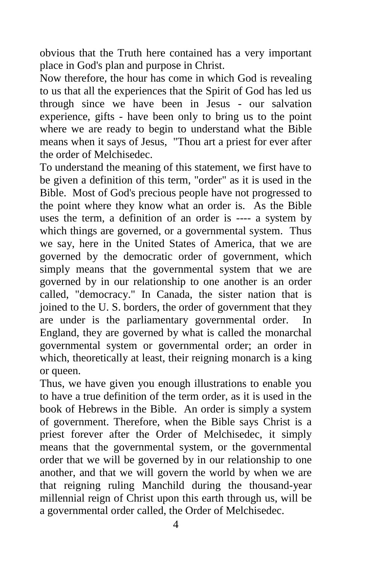obvious that the Truth here contained has a very important place in God's plan and purpose in Christ.

Now therefore, the hour has come in which God is revealing to us that all the experiences that the Spirit of God has led us through since we have been in Jesus - our salvation experience, gifts - have been only to bring us to the point where we are ready to begin to understand what the Bible means when it says of Jesus, "Thou art a priest for ever after the order of Melchisedec.

To understand the meaning of this statement, we first have to be given a definition of this term, "order" as it is used in the Bible. Most of God's precious people have not progressed to the point where they know what an order is. As the Bible uses the term, a definition of an order is ---- a system by which things are governed, or a governmental system. Thus we say, here in the United States of America, that we are governed by the democratic order of government, which simply means that the governmental system that we are governed by in our relationship to one another is an order called, "democracy." In Canada, the sister nation that is joined to the U. S. borders, the order of government that they are under is the parliamentary governmental order. In England, they are governed by what is called the monarchal governmental system or governmental order; an order in which, theoretically at least, their reigning monarch is a king or queen.

Thus, we have given you enough illustrations to enable you to have a true definition of the term order, as it is used in the book of Hebrews in the Bible. An order is simply a system of government. Therefore, when the Bible says Christ is a priest forever after the Order of Melchisedec, it simply means that the governmental system, or the governmental order that we will be governed by in our relationship to one another, and that we will govern the world by when we are that reigning ruling Manchild during the thousand-year millennial reign of Christ upon this earth through us, will be a governmental order called, the Order of Melchisedec.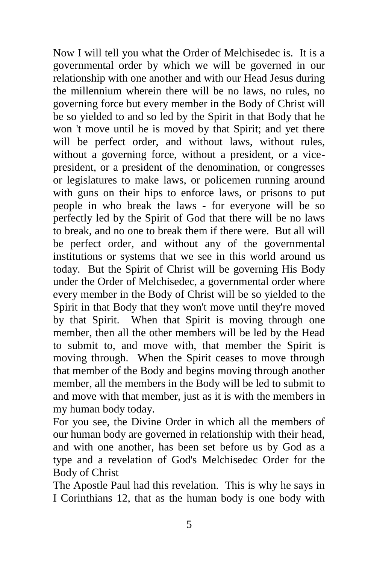Now I will tell you what the Order of Melchisedec is. It is a governmental order by which we will be governed in our relationship with one another and with our Head Jesus during the millennium wherein there will be no laws, no rules, no governing force but every member in the Body of Christ will be so yielded to and so led by the Spirit in that Body that he won 't move until he is moved by that Spirit; and yet there will be perfect order, and without laws, without rules, without a governing force, without a president, or a vicepresident, or a president of the denomination, or congresses or legislatures to make laws, or policemen running around with guns on their hips to enforce laws, or prisons to put people in who break the laws - for everyone will be so perfectly led by the Spirit of God that there will be no laws to break, and no one to break them if there were. But all will be perfect order, and without any of the governmental institutions or systems that we see in this world around us today. But the Spirit of Christ will be governing His Body under the Order of Melchisedec, a governmental order where every member in the Body of Christ will be so yielded to the Spirit in that Body that they won't move until they're moved by that Spirit. When that Spirit is moving through one member, then all the other members will be led by the Head to submit to, and move with, that member the Spirit is moving through. When the Spirit ceases to move through that member of the Body and begins moving through another member, all the members in the Body will be led to submit to and move with that member, just as it is with the members in my human body today.

For you see, the Divine Order in which all the members of our human body are governed in relationship with their head, and with one another, has been set before us by God as a type and a revelation of God's Melchisedec Order for the Body of Christ

The Apostle Paul had this revelation. This is why he says in I Corinthians 12, that as the human body is one body with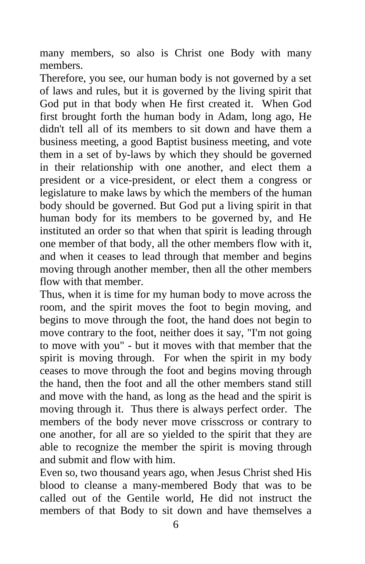many members, so also is Christ one Body with many members.

Therefore, you see, our human body is not governed by a set of laws and rules, but it is governed by the living spirit that God put in that body when He first created it. When God first brought forth the human body in Adam, long ago, He didn't tell all of its members to sit down and have them a business meeting, a good Baptist business meeting, and vote them in a set of by-laws by which they should be governed in their relationship with one another, and elect them a president or a vice-president, or elect them a congress or legislature to make laws by which the members of the human body should be governed. But God put a living spirit in that human body for its members to be governed by, and He instituted an order so that when that spirit is leading through one member of that body, all the other members flow with it, and when it ceases to lead through that member and begins moving through another member, then all the other members flow with that member.

Thus, when it is time for my human body to move across the room, and the spirit moves the foot to begin moving, and begins to move through the foot, the hand does not begin to move contrary to the foot, neither does it say, "I'm not going to move with you" - but it moves with that member that the spirit is moving through. For when the spirit in my body ceases to move through the foot and begins moving through the hand, then the foot and all the other members stand still and move with the hand, as long as the head and the spirit is moving through it. Thus there is always perfect order. The members of the body never move crisscross or contrary to one another, for all are so yielded to the spirit that they are able to recognize the member the spirit is moving through and submit and flow with him.

Even so, two thousand years ago, when Jesus Christ shed His blood to cleanse a many-membered Body that was to be called out of the Gentile world, He did not instruct the members of that Body to sit down and have themselves a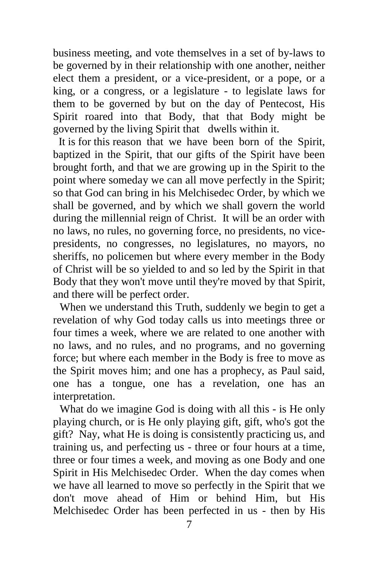business meeting, and vote themselves in a set of by-laws to be governed by in their relationship with one another, neither elect them a president, or a vice-president, or a pope, or a king, or a congress, or a legislature - to legislate laws for them to be governed by but on the day of Pentecost, His Spirit roared into that Body, that that Body might be governed by the living Spirit that dwells within it.

 It is for this reason that we have been born of the Spirit, baptized in the Spirit, that our gifts of the Spirit have been brought forth, and that we are growing up in the Spirit to the point where someday we can all move perfectly in the Spirit; so that God can bring in his Melchisedec Order, by which we shall be governed, and by which we shall govern the world during the millennial reign of Christ. It will be an order with no laws, no rules, no governing force, no presidents, no vicepresidents, no congresses, no legislatures, no mayors, no sheriffs, no policemen but where every member in the Body of Christ will be so yielded to and so led by the Spirit in that Body that they won't move until they're moved by that Spirit, and there will be perfect order.

When we understand this Truth, suddenly we begin to get a revelation of why God today calls us into meetings three or four times a week, where we are related to one another with no laws, and no rules, and no programs, and no governing force; but where each member in the Body is free to move as the Spirit moves him; and one has a prophecy, as Paul said, one has a tongue, one has a revelation, one has an interpretation.

What do we imagine God is doing with all this - is He only playing church, or is He only playing gift, gift, who's got the gift? Nay, what He is doing is consistently practicing us, and training us, and perfecting us - three or four hours at a time, three or four times a week, and moving as one Body and one Spirit in His Melchisedec Order. When the day comes when we have all learned to move so perfectly in the Spirit that we don't move ahead of Him or behind Him, but His Melchisedec Order has been perfected in us - then by His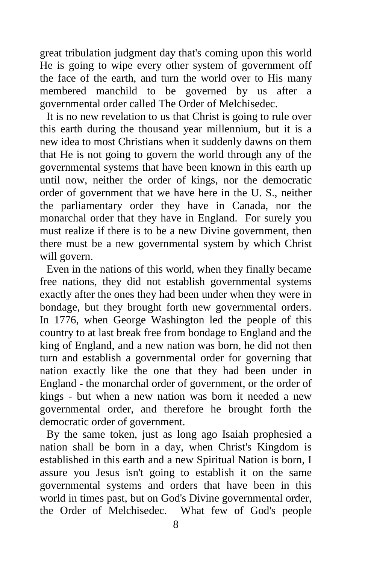great tribulation judgment day that's coming upon this world He is going to wipe every other system of government off the face of the earth, and turn the world over to His many membered manchild to be governed by us after a governmental order called The Order of Melchisedec.

It is no new revelation to us that Christ is going to rule over this earth during the thousand year millennium, but it is a new idea to most Christians when it suddenly dawns on them that He is not going to govern the world through any of the governmental systems that have been known in this earth up until now, neither the order of kings, nor the democratic order of government that we have here in the U. S., neither the parliamentary order they have in Canada, nor the monarchal order that they have in England. For surely you must realize if there is to be a new Divine government, then there must be a new governmental system by which Christ will govern.

Even in the nations of this world, when they finally became free nations, they did not establish governmental systems exactly after the ones they had been under when they were in bondage, but they brought forth new governmental orders. In 1776, when George Washington led the people of this country to at last break free from bondage to England and the king of England, and a new nation was born, he did not then turn and establish a governmental order for governing that nation exactly like the one that they had been under in England - the monarchal order of government, or the order of kings - but when a new nation was born it needed a new governmental order, and therefore he brought forth the democratic order of government.

By the same token, just as long ago Isaiah prophesied a nation shall be born in a day, when Christ's Kingdom is established in this earth and a new Spiritual Nation is born, I assure you Jesus isn't going to establish it on the same governmental systems and orders that have been in this world in times past, but on God's Divine governmental order, the Order of Melchisedec. What few of God's people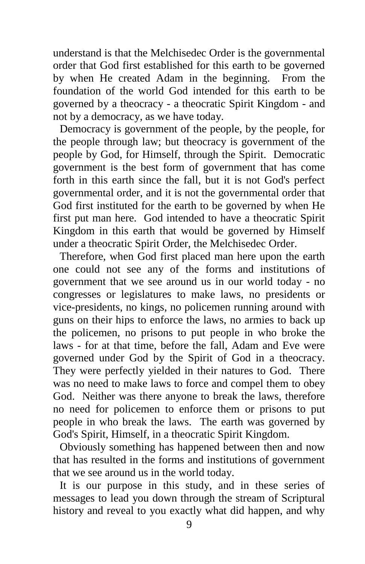understand is that the Melchisedec Order is the governmental order that God first established for this earth to be governed by when He created Adam in the beginning. From the foundation of the world God intended for this earth to be governed by a theocracy - a theocratic Spirit Kingdom - and not by a democracy, as we have today.

Democracy is government of the people, by the people, for the people through law; but theocracy is government of the people by God, for Himself, through the Spirit. Democratic government is the best form of government that has come forth in this earth since the fall, but it is not God's perfect governmental order, and it is not the governmental order that God first instituted for the earth to be governed by when He first put man here. God intended to have a theocratic Spirit Kingdom in this earth that would be governed by Himself under a theocratic Spirit Order, the Melchisedec Order.

Therefore, when God first placed man here upon the earth one could not see any of the forms and institutions of government that we see around us in our world today - no congresses or legislatures to make laws, no presidents or vice-presidents, no kings, no policemen running around with guns on their hips to enforce the laws, no armies to back up the policemen, no prisons to put people in who broke the laws - for at that time, before the fall, Adam and Eve were governed under God by the Spirit of God in a theocracy. They were perfectly yielded in their natures to God. There was no need to make laws to force and compel them to obey God. Neither was there anyone to break the laws, therefore no need for policemen to enforce them or prisons to put people in who break the laws. The earth was governed by God's Spirit, Himself, in a theocratic Spirit Kingdom.

Obviously something has happened between then and now that has resulted in the forms and institutions of government that we see around us in the world today.

It is our purpose in this study, and in these series of messages to lead you down through the stream of Scriptural history and reveal to you exactly what did happen, and why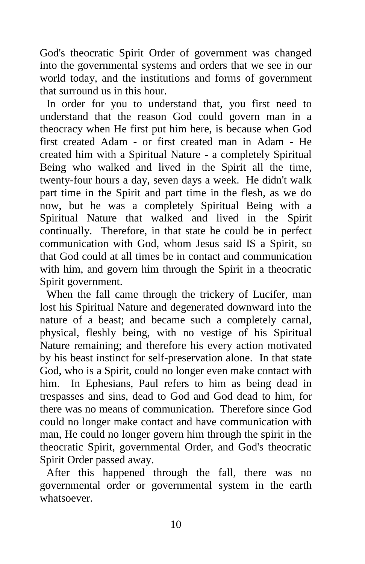God's theocratic Spirit Order of government was changed into the governmental systems and orders that we see in our world today, and the institutions and forms of government that surround us in this hour.

In order for you to understand that, you first need to understand that the reason God could govern man in a theocracy when He first put him here, is because when God first created Adam - or first created man in Adam - He created him with a Spiritual Nature - a completely Spiritual Being who walked and lived in the Spirit all the time, twenty-four hours a day, seven days a week. He didn't walk part time in the Spirit and part time in the flesh, as we do now, but he was a completely Spiritual Being with a Spiritual Nature that walked and lived in the Spirit continually. Therefore, in that state he could be in perfect communication with God, whom Jesus said IS a Spirit, so that God could at all times be in contact and communication with him, and govern him through the Spirit in a theocratic Spirit government.

When the fall came through the trickery of Lucifer, man lost his Spiritual Nature and degenerated downward into the nature of a beast; and became such a completely carnal, physical, fleshly being, with no vestige of his Spiritual Nature remaining; and therefore his every action motivated by his beast instinct for self-preservation alone. In that state God, who is a Spirit, could no longer even make contact with him. In Ephesians, Paul refers to him as being dead in trespasses and sins, dead to God and God dead to him, for there was no means of communication. Therefore since God could no longer make contact and have communication with man, He could no longer govern him through the spirit in the theocratic Spirit, governmental Order, and God's theocratic Spirit Order passed away.

After this happened through the fall, there was no governmental order or governmental system in the earth whatsoever.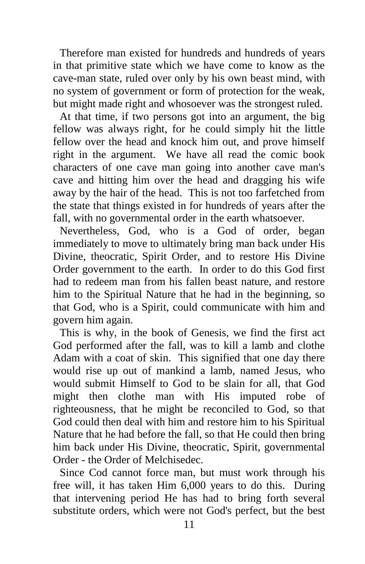Therefore man existed for hundreds and hundreds of years in that primitive state which we have come to know as the cave-man state, ruled over only by his own beast mind, with no system of government or form of protection for the weak, but might made right and whosoever was the strongest ruled.

At that time, if two persons got into an argument, the big fellow was always right, for he could simply hit the little fellow over the head and knock him out, and prove himself right in the argument. We have all read the comic book characters of one cave man going into another cave man's cave and hitting him over the head and dragging his wife away by the hair of the head. This is not too farfetched from the state that things existed in for hundreds of years after the fall, with no governmental order in the earth whatsoever.

Nevertheless, God, who is a God of order, began immediately to move to ultimately bring man back under His Divine, theocratic, Spirit Order, and to restore His Divine Order government to the earth. In order to do this God first had to redeem man from his fallen beast nature, and restore him to the Spiritual Nature that he had in the beginning, so that God, who is a Spirit, could communicate with him and govern him again.

This is why, in the book of Genesis, we find the first act God performed after the fall, was to kill a lamb and clothe Adam with a coat of skin. This signified that one day there would rise up out of mankind a lamb, named Jesus, who would submit Himself to God to be slain for all, that God might then clothe man with His imputed robe of righteousness, that he might be reconciled to God, so that God could then deal with him and restore him to his Spiritual Nature that he had before the fall, so that He could then bring him back under His Divine, theocratic, Spirit, governmental Order - the Order of Melchisedec.

Since Cod cannot force man, but must work through his free will, it has taken Him 6,000 years to do this. During that intervening period He has had to bring forth several substitute orders, which were not God's perfect, but the best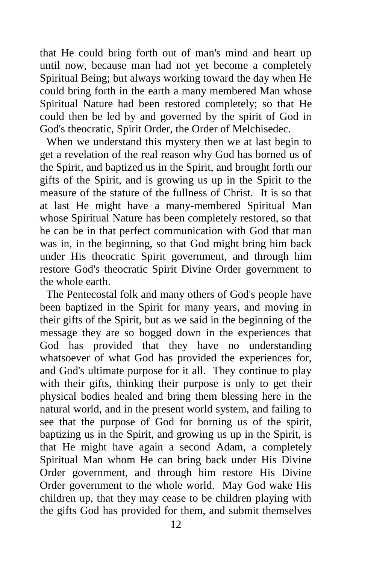that He could bring forth out of man's mind and heart up until now, because man had not yet become a completely Spiritual Being; but always working toward the day when He could bring forth in the earth a many membered Man whose Spiritual Nature had been restored completely; so that He could then be led by and governed by the spirit of God in God's theocratic, Spirit Order, the Order of Melchisedec.

When we understand this mystery then we at last begin to get a revelation of the real reason why God has borned us of the Spirit, and baptized us in the Spirit, and brought forth our gifts of the Spirit, and is growing us up in the Spirit to the measure of the stature of the fullness of Christ. It is so that at last He might have a many-membered Spiritual Man whose Spiritual Nature has been completely restored, so that he can be in that perfect communication with God that man was in, in the beginning, so that God might bring him back under His theocratic Spirit government, and through him restore God's theocratic Spirit Divine Order government to the whole earth.

The Pentecostal folk and many others of God's people have been baptized in the Spirit for many years, and moving in their gifts of the Spirit, but as we said in the beginning of the message they are so bogged down in the experiences that God has provided that they have no understanding whatsoever of what God has provided the experiences for, and God's ultimate purpose for it all. They continue to play with their gifts, thinking their purpose is only to get their physical bodies healed and bring them blessing here in the natural world, and in the present world system, and failing to see that the purpose of God for borning us of the spirit, baptizing us in the Spirit, and growing us up in the Spirit, is that He might have again a second Adam, a completely Spiritual Man whom He can bring back under His Divine Order government, and through him restore His Divine Order government to the whole world. May God wake His children up, that they may cease to be children playing with the gifts God has provided for them, and submit themselves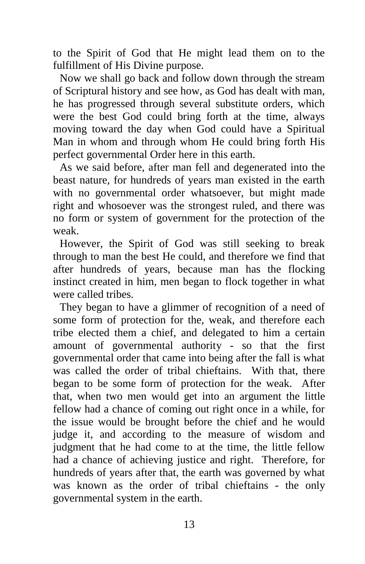to the Spirit of God that He might lead them on to the fulfillment of His Divine purpose.

Now we shall go back and follow down through the stream of Scriptural history and see how, as God has dealt with man, he has progressed through several substitute orders, which were the best God could bring forth at the time, always moving toward the day when God could have a Spiritual Man in whom and through whom He could bring forth His perfect governmental Order here in this earth.

As we said before, after man fell and degenerated into the beast nature, for hundreds of years man existed in the earth with no governmental order whatsoever, but might made right and whosoever was the strongest ruled, and there was no form or system of government for the protection of the weak.

However, the Spirit of God was still seeking to break through to man the best He could, and therefore we find that after hundreds of years, because man has the flocking instinct created in him, men began to flock together in what were called tribes.

They began to have a glimmer of recognition of a need of some form of protection for the, weak, and therefore each tribe elected them a chief, and delegated to him a certain amount of governmental authority - so that the first governmental order that came into being after the fall is what was called the order of tribal chieftains. With that, there began to be some form of protection for the weak. After that, when two men would get into an argument the little fellow had a chance of coming out right once in a while, for the issue would be brought before the chief and he would judge it, and according to the measure of wisdom and judgment that he had come to at the time, the little fellow had a chance of achieving justice and right. Therefore, for hundreds of years after that, the earth was governed by what was known as the order of tribal chieftains - the only governmental system in the earth.

13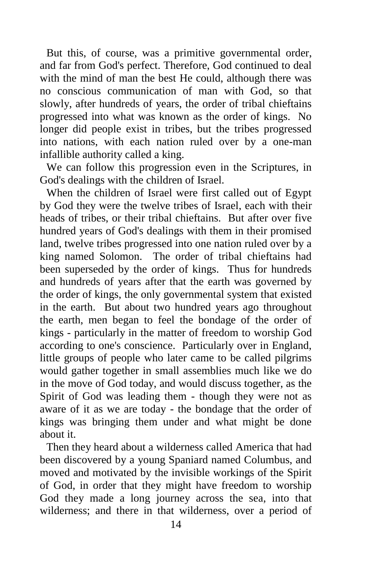But this, of course, was a primitive governmental order, and far from God's perfect. Therefore, God continued to deal with the mind of man the best He could, although there was no conscious communication of man with God, so that slowly, after hundreds of years, the order of tribal chieftains progressed into what was known as the order of kings. No longer did people exist in tribes, but the tribes progressed into nations, with each nation ruled over by a one-man infallible authority called a king.

We can follow this progression even in the Scriptures, in God's dealings with the children of Israel.

When the children of Israel were first called out of Egypt by God they were the twelve tribes of Israel, each with their heads of tribes, or their tribal chieftains. But after over five hundred years of God's dealings with them in their promised land, twelve tribes progressed into one nation ruled over by a king named Solomon. The order of tribal chieftains had been superseded by the order of kings. Thus for hundreds and hundreds of years after that the earth was governed by the order of kings, the only governmental system that existed in the earth. But about two hundred years ago throughout the earth, men began to feel the bondage of the order of kings - particularly in the matter of freedom to worship God according to one's conscience. Particularly over in England, little groups of people who later came to be called pilgrims would gather together in small assemblies much like we do in the move of God today, and would discuss together, as the Spirit of God was leading them - though they were not as aware of it as we are today - the bondage that the order of kings was bringing them under and what might be done about it.

Then they heard about a wilderness called America that had been discovered by a young Spaniard named Columbus, and moved and motivated by the invisible workings of the Spirit of God, in order that they might have freedom to worship God they made a long journey across the sea, into that wilderness; and there in that wilderness, over a period of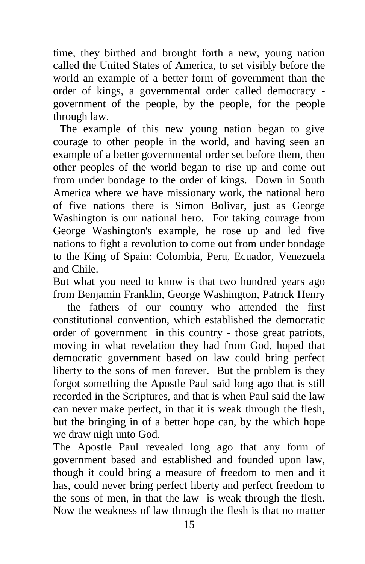time, they birthed and brought forth a new, young nation called the United States of America, to set visibly before the world an example of a better form of government than the order of kings, a governmental order called democracy government of the people, by the people, for the people through law.

The example of this new young nation began to give courage to other people in the world, and having seen an example of a better governmental order set before them, then other peoples of the world began to rise up and come out from under bondage to the order of kings. Down in South America where we have missionary work, the national hero of five nations there is Simon Bolivar, just as George Washington is our national hero. For taking courage from George Washington's example, he rose up and led five nations to fight a revolution to come out from under bondage to the King of Spain: Colombia, Peru, Ecuador, Venezuela and Chile.

But what you need to know is that two hundred years ago from Benjamin Franklin, George Washington, Patrick Henry – the fathers of our country who attended the first constitutional convention, which established the democratic order of government in this country - those great patriots, moving in what revelation they had from God, hoped that democratic government based on law could bring perfect liberty to the sons of men forever. But the problem is they forgot something the Apostle Paul said long ago that is still recorded in the Scriptures, and that is when Paul said the law can never make perfect, in that it is weak through the flesh, but the bringing in of a better hope can, by the which hope we draw nigh unto God.

The Apostle Paul revealed long ago that any form of government based and established and founded upon law, though it could bring a measure of freedom to men and it has, could never bring perfect liberty and perfect freedom to the sons of men, in that the law is weak through the flesh. Now the weakness of law through the flesh is that no matter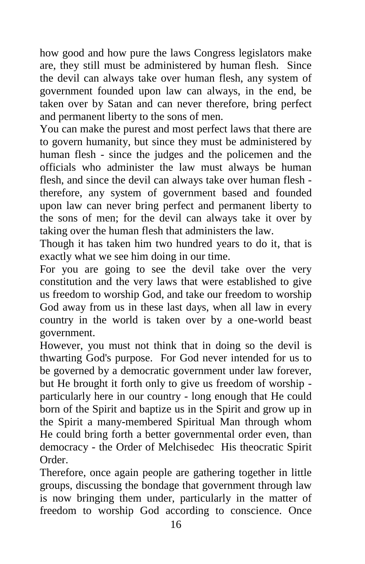how good and how pure the laws Congress legislators make are, they still must be administered by human flesh. Since the devil can always take over human flesh, any system of government founded upon law can always, in the end, be taken over by Satan and can never therefore, bring perfect and permanent liberty to the sons of men.

You can make the purest and most perfect laws that there are to govern humanity, but since they must be administered by human flesh - since the judges and the policemen and the officials who administer the law must always be human flesh, and since the devil can always take over human flesh therefore, any system of government based and founded upon law can never bring perfect and permanent liberty to the sons of men; for the devil can always take it over by taking over the human flesh that administers the law.

Though it has taken him two hundred years to do it, that is exactly what we see him doing in our time.

For you are going to see the devil take over the very constitution and the very laws that were established to give us freedom to worship God, and take our freedom to worship God away from us in these last days, when all law in every country in the world is taken over by a one-world beast government.

However, you must not think that in doing so the devil is thwarting God's purpose. For God never intended for us to be governed by a democratic government under law forever, but He brought it forth only to give us freedom of worship particularly here in our country - long enough that He could born of the Spirit and baptize us in the Spirit and grow up in the Spirit a many-membered Spiritual Man through whom He could bring forth a better governmental order even, than democracy - the Order of Melchisedec His theocratic Spirit Order.

Therefore, once again people are gathering together in little groups, discussing the bondage that government through law is now bringing them under, particularly in the matter of freedom to worship God according to conscience. Once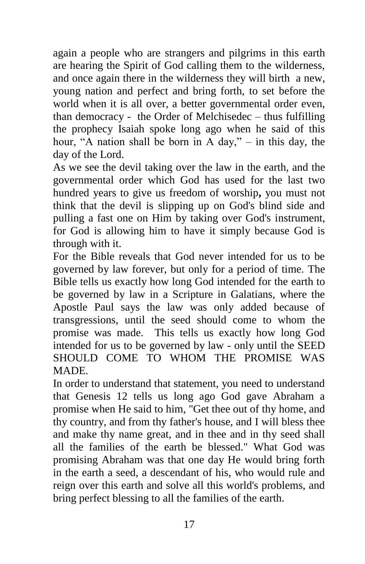again a people who are strangers and pilgrims in this earth are hearing the Spirit of God calling them to the wilderness, and once again there in the wilderness they will birth a new, young nation and perfect and bring forth, to set before the world when it is all over, a better governmental order even, than democracy - the Order of Melchisedec – thus fulfilling the prophecy Isaiah spoke long ago when he said of this hour, "A nation shall be born in A day," – in this day, the day of the Lord.

As we see the devil taking over the law in the earth, and the governmental order which God has used for the last two hundred years to give us freedom of worship**,** you must not think that the devil is slipping up on God's blind side and pulling a fast one on Him by taking over God's instrument, for God is allowing him to have it simply because God is through with it.

For the Bible reveals that God never intended for us to be governed by law forever, but only for a period of time. The Bible tells us exactly how long God intended for the earth to be governed by law in a Scripture in Galatians, where the Apostle Paul says the law was only added because of transgressions, until the seed should come to whom the promise was made. This tells us exactly how long God intended for us to be governed by law - only until the SEED SHOULD COME TO WHOM THE PROMISE WAS MADE.

In order to understand that statement, you need to understand that Genesis 12 tells us long ago God gave Abraham a promise when He said to him, "Get thee out of thy home, and thy country, and from thy father's house, and I will bless thee and make thy name great, and in thee and in thy seed shall all the families of the earth be blessed." What God was promising Abraham was that one day He would bring forth in the earth a seed, a descendant of his, who would rule and reign over this earth and solve all this world's problems, and bring perfect blessing to all the families of the earth.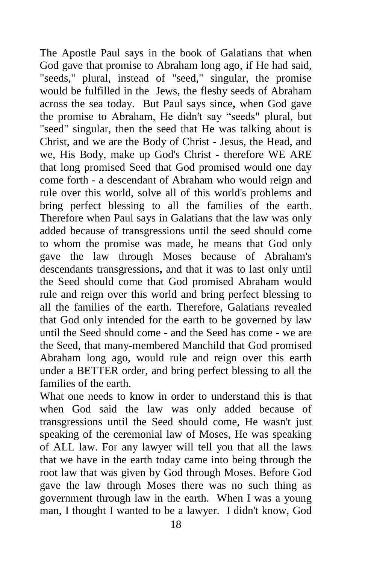The Apostle Paul says in the book of Galatians that when God gave that promise to Abraham long ago, if He had said, "seeds," plural, instead of "seed," singular, the promise would be fulfilled in the Jews, the fleshy seeds of Abraham across the sea today. But Paul says since**,** when God gave the promise to Abraham, He didn't say "seeds" plural, but "seed" singular, then the seed that He was talking about is Christ, and we are the Body of Christ - Jesus, the Head, and we, His Body, make up God's Christ - therefore WE ARE that long promised Seed that God promised would one day come forth - a descendant of Abraham who would reign and rule over this world, solve all of this world's problems and bring perfect blessing to all the families of the earth. Therefore when Paul says in Galatians that the law was only added because of transgressions until the seed should come to whom the promise was made, he means that God only gave the law through Moses because of Abraham's descendants transgressions**,** and that it was to last only until the Seed should come that God promised Abraham would rule and reign over this world and bring perfect blessing to all the families of the earth. Therefore, Galatians revealed that God only intended for the earth to be governed by law until the Seed should come - and the Seed has come - we are the Seed, that many-membered Manchild that God promised Abraham long ago, would rule and reign over this earth under a BETTER order, and bring perfect blessing to all the families of the earth.

What one needs to know in order to understand this is that when God said the law was only added because of transgressions until the Seed should come, He wasn't just speaking of the ceremonial law of Moses, He was speaking of ALL law. For any lawyer will tell you that all the laws that we have in the earth today came into being through the root law that was given by God through Moses. Before God gave the law through Moses there was no such thing as government through law in the earth. When I was a young man, I thought I wanted to be a lawyer. I didn't know, God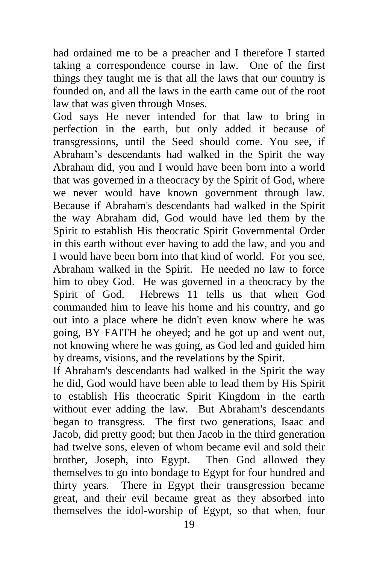had ordained me to be a preacher and I therefore I started taking a correspondence course in law. One of the first things they taught me is that all the laws that our country is founded on, and all the laws in the earth came out of the root law that was given through Moses.

God says He never intended for that law to bring in perfection in the earth, but only added it because of transgressions, until the Seed should come. You see, if Abraham's descendants had walked in the Spirit the way Abraham did, you and I would have been born into a world that was governed in a theocracy by the Spirit of God, where we never would have known government through law. Because if Abraham's descendants had walked in the Spirit the way Abraham did, God would have led them by the Spirit to establish His theocratic Spirit Governmental Order in this earth without ever having to add the law, and you and I would have been born into that kind of world. For you see, Abraham walked in the Spirit. He needed no law to force him to obey God. He was governed in a theocracy by the Spirit of God. Hebrews 11 tells us that when God commanded him to leave his home and his country, and go out into a place where he didn't even know where he was going, BY FAITH he obeyed; and he got up and went out, not knowing where he was going, as God led and guided him by dreams, visions, and the revelations by the Spirit.

If Abraham's descendants had walked in the Spirit the way he did, God would have been able to lead them by His Spirit to establish His theocratic Spirit Kingdom in the earth without ever adding the law. But Abraham's descendants began to transgress. The first two generations, Isaac and Jacob, did pretty good; but then Jacob in the third generation had twelve sons, eleven of whom became evil and sold their brother, Joseph, into Egypt. Then God allowed they themselves to go into bondage to Egypt for four hundred and thirty years. There in Egypt their transgression became great, and their evil became great as they absorbed into themselves the idol-worship of Egypt, so that when, four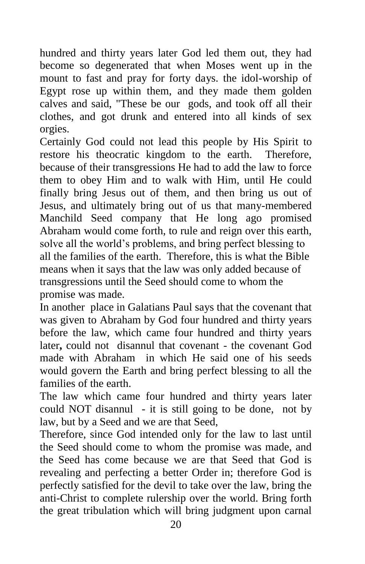hundred and thirty years later God led them out, they had become so degenerated that when Moses went up in the mount to fast and pray for forty days. the idol-worship of Egypt rose up within them, and they made them golden calves and said, "These be our gods, and took off all their clothes, and got drunk and entered into all kinds of sex orgies.

Certainly God could not lead this people by His Spirit to restore his theocratic kingdom to the earth. Therefore, because of their transgressions He had to add the law to force them to obey Him and to walk with Him, until He could finally bring Jesus out of them, and then bring us out of Jesus, and ultimately bring out of us that many-membered Manchild Seed company that He long ago promised Abraham would come forth, to rule and reign over this earth, solve all the world's problems, and bring perfect blessing to all the families of the earth. Therefore, this is what the Bible means when it says that the law was only added because of transgressions until the Seed should come to whom the promise was made.

In another place in Galatians Paul says that the covenant that was given to Abraham by God four hundred and thirty years before the law, which came four hundred and thirty years later, could not disannul that covenant - the covenant God made with Abraham in which He said one of his seeds would govern the Earth and bring perfect blessing to all the families of the earth.

The law which came four hundred and thirty years later could NOT disannul - it is still going to be done, not by law, but by a Seed and we are that Seed,

Therefore, since God intended only for the law to last until the Seed should come to whom the promise was made, and the Seed has come because we are that Seed that God is revealing and perfecting a better Order in; therefore God is perfectly satisfied for the devil to take over the law, bring the anti-Christ to complete rulership over the world. Bring forth the great tribulation which will bring judgment upon carnal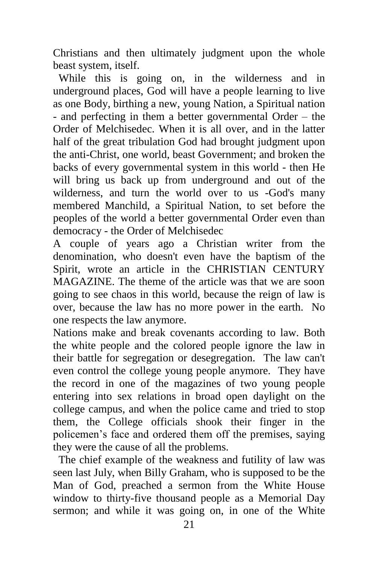Christians and then ultimately judgment upon the whole beast system, itself.

 While this is going on, in the wilderness and in underground places, God will have a people learning to live as one Body, birthing a new, young Nation, a Spiritual nation - and perfecting in them a better governmental Order – the Order of Melchisedec. When it is all over, and in the latter half of the great tribulation God had brought judgment upon the anti-Christ, one world, beast Government; and broken the backs of every governmental system in this world - then He will bring us back up from underground and out of the wilderness, and turn the world over to us -God's many membered Manchild, a Spiritual Nation, to set before the peoples of the world a better governmental Order even than democracy - the Order of Melchisedec

A couple of years ago a Christian writer from the denomination, who doesn't even have the baptism of the Spirit, wrote an article in the CHRISTIAN CENTURY MAGAZINE. The theme of the article was that we are soon going to see chaos in this world, because the reign of law is over, because the law has no more power in the earth. No one respects the law anymore.

Nations make and break covenants according to law. Both the white people and the colored people ignore the law in their battle for segregation or desegregation. The law can't even control the college young people anymore. They have the record in one of the magazines of two young people entering into sex relations in broad open daylight on the college campus, and when the police came and tried to stop them, the College officials shook their finger in the policemen's face and ordered them off the premises, saying they were the cause of all the problems.

 The chief example of the weakness and futility of law was seen last July, when Billy Graham, who is supposed to be the Man of God, preached a sermon from the White House window to thirty-five thousand people as a Memorial Day sermon; and while it was going on, in one of the White